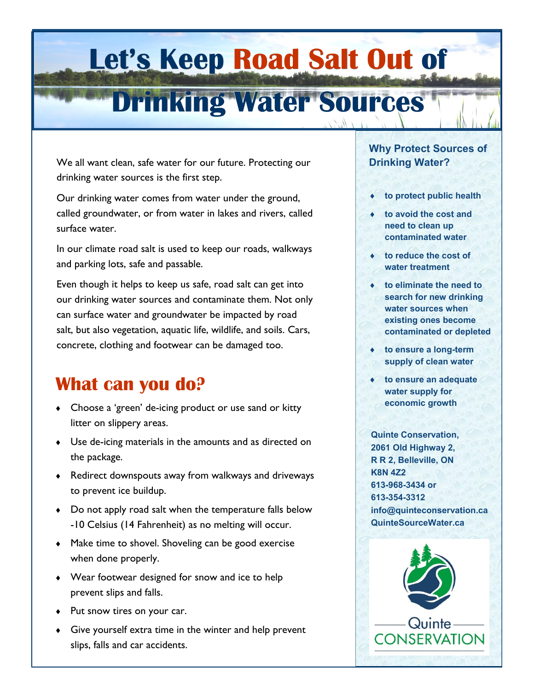# **Let's Keep Road Salt Out of**

## **Drinking Water Sources**

We all want clean, safe water for our future. Protecting our drinking water sources is the first step.

Our drinking water comes from water under the ground, called groundwater, or from water in lakes and rivers, called surface water.

In our climate road salt is used to keep our roads, walkways and parking lots, safe and passable.

Even though it helps to keep us safe, road salt can get into our drinking water sources and contaminate them. Not only can surface water and groundwater be impacted by road salt, but also vegetation, aquatic life, wildlife, and soils. Cars, concrete, clothing and footwear can be damaged too.

## **What can you do?**

- Choose a 'green' de-icing product or use sand or kitty litter on slippery areas.
- Use de-icing materials in the amounts and as directed on the package.
- Redirect downspouts away from walkways and driveways to prevent ice buildup.
- Do not apply road salt when the temperature falls below -10 Celsius (14 Fahrenheit) as no melting will occur.
- $\bullet$  Make time to shovel. Shoveling can be good exercise when done properly.
- Wear footwear designed for snow and ice to help prevent slips and falls.
- Put snow tires on your car.
- Give yourself extra time in the winter and help prevent slips, falls and car accidents.

#### **Why Protect Sources of Drinking Water?**

- **to protect public health**
- **to avoid the cost and need to clean up contaminated water**
- **to reduce the cost of water treatment**
- **to eliminate the need to search for new drinking water sources when existing ones become contaminated or depleted**
- **to ensure a long-term supply of clean water**
- **to ensure an adequate water supply for economic growth**

**Quinte Conservation, 2061 Old Highway 2, R R 2, Belleville, ON K8N 4Z2 613-968-3434 or 613-354-3312 info@quinteconservation.ca QuinteSourceWater.ca**